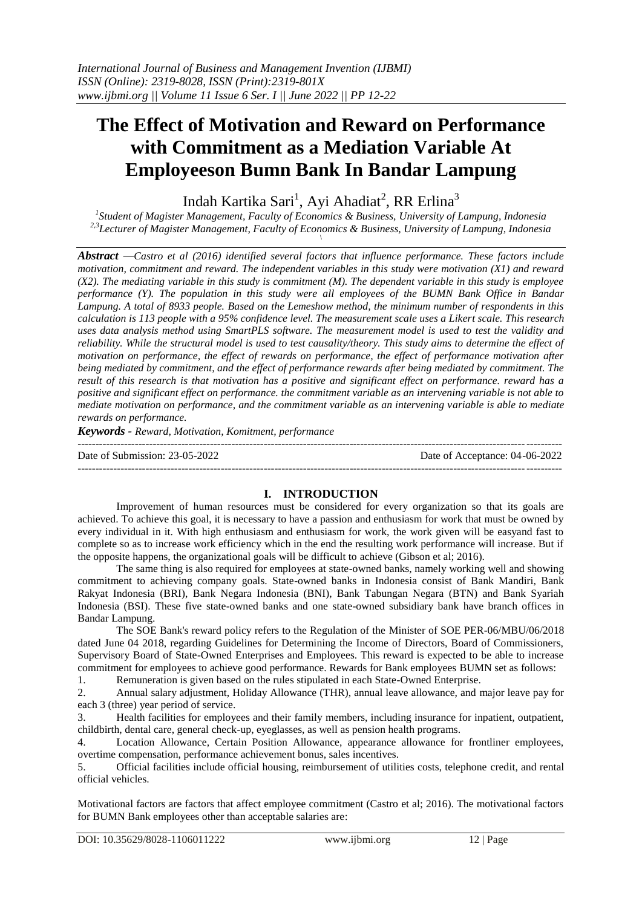# **The Effect of Motivation and Reward on Performance with Commitment as a Mediation Variable At Employeeson Bumn Bank In Bandar Lampung**

Indah Kartika Sari<sup>1</sup>, Ayi Ahadiat<sup>2</sup>, RR Erlina<sup>3</sup>

*1 Student of Magister Management, Faculty of Economics & Business, University of Lampung, Indonesia 2,3Lecturer of Magister Management, Faculty of Economics & Business, University of Lampung, Indonesia* \

*Abstract —Castro et al (2016) identified several factors that influence performance. These factors include motivation, commitment and reward. The independent variables in this study were motivation (X1) and reward (X2). The mediating variable in this study is commitment (M). The dependent variable in this study is employee performance (Y). The population in this study were all employees of the BUMN Bank Office in Bandar Lampung. A total of 8933 people. Based on the Lemeshow method, the minimum number of respondents in this calculation is 113 people with a 95% confidence level. The measurement scale uses a Likert scale. This research uses data analysis method using SmartPLS software. The measurement model is used to test the validity and reliability. While the structural model is used to test causality/theory. This study aims to determine the effect of motivation on performance, the effect of rewards on performance, the effect of performance motivation after being mediated by commitment, and the effect of performance rewards after being mediated by commitment. The result of this research is that motivation has a positive and significant effect on performance. reward has a positive and significant effect on performance. the commitment variable as an intervening variable is not able to mediate motivation on performance, and the commitment variable as an intervening variable is able to mediate rewards on performance.*

*Keywords - Reward, Motivation, Komitment, performance*

--------------------------------------------------------------------------------------------------------------------------------------- Date of Submission: 23-05-2022 Date of Acceptance: 04-06-2022  $-1-\frac{1}{2}$ 

# **I. INTRODUCTION**

Improvement of human resources must be considered for every organization so that its goals are achieved. To achieve this goal, it is necessary to have a passion and enthusiasm for work that must be owned by every individual in it. With high enthusiasm and enthusiasm for work, the work given will be easyand fast to complete so as to increase work efficiency which in the end the resulting work performance will increase. But if the opposite happens, the organizational goals will be difficult to achieve (Gibson et al; 2016).

The same thing is also required for employees at state-owned banks, namely working well and showing commitment to achieving company goals. State-owned banks in Indonesia consist of Bank Mandiri, Bank Rakyat Indonesia (BRI), Bank Negara Indonesia (BNI), Bank Tabungan Negara (BTN) and Bank Syariah Indonesia (BSI). These five state-owned banks and one state-owned subsidiary bank have branch offices in Bandar Lampung.

The SOE Bank's reward policy refers to the Regulation of the Minister of SOE PER-06/MBU/06/2018 dated June 04 2018, regarding Guidelines for Determining the Income of Directors, Board of Commissioners, Supervisory Board of State-Owned Enterprises and Employees. This reward is expected to be able to increase commitment for employees to achieve good performance. Rewards for Bank employees BUMN set as follows:

1. Remuneration is given based on the rules stipulated in each State-Owned Enterprise.

2. Annual salary adjustment, Holiday Allowance (THR), annual leave allowance, and major leave pay for each 3 (three) year period of service.

3. Health facilities for employees and their family members, including insurance for inpatient, outpatient, childbirth, dental care, general check-up, eyeglasses, as well as pension health programs.

4. Location Allowance, Certain Position Allowance, appearance allowance for frontliner employees, overtime compensation, performance achievement bonus, sales incentives.

5. Official facilities include official housing, reimbursement of utilities costs, telephone credit, and rental official vehicles.

Motivational factors are factors that affect employee commitment (Castro et al; 2016). The motivational factors for BUMN Bank employees other than acceptable salaries are: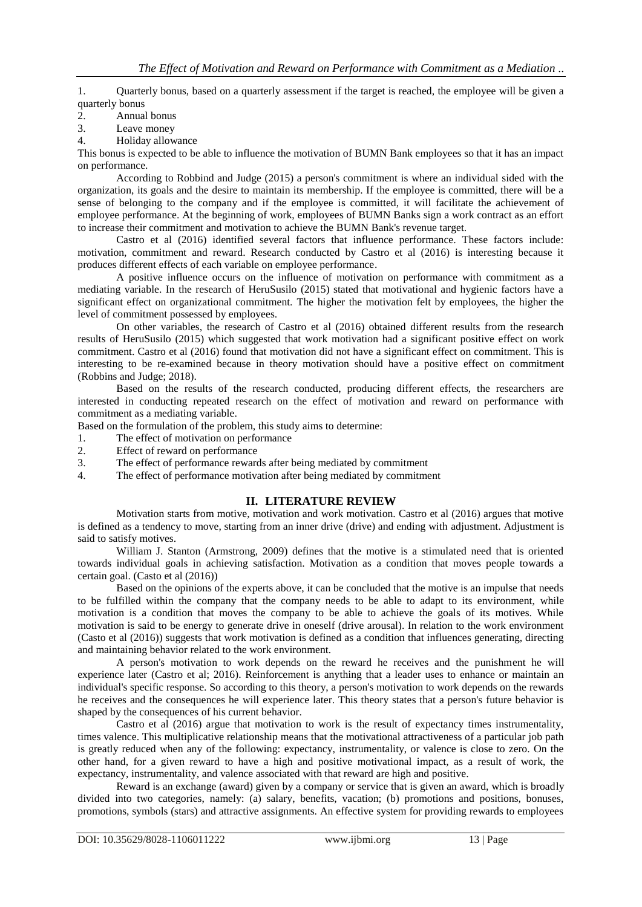1. Quarterly bonus, based on a quarterly assessment if the target is reached, the employee will be given a quarterly bonus

- 2. Annual bonus
- 3. Leave money
- 4. Holiday allowance

This bonus is expected to be able to influence the motivation of BUMN Bank employees so that it has an impact on performance.

According to Robbind and Judge (2015) a person's commitment is where an individual sided with the organization, its goals and the desire to maintain its membership. If the employee is committed, there will be a sense of belonging to the company and if the employee is committed, it will facilitate the achievement of employee performance. At the beginning of work, employees of BUMN Banks sign a work contract as an effort to increase their commitment and motivation to achieve the BUMN Bank's revenue target.

Castro et al (2016) identified several factors that influence performance. These factors include: motivation, commitment and reward. Research conducted by Castro et al (2016) is interesting because it produces different effects of each variable on employee performance.

A positive influence occurs on the influence of motivation on performance with commitment as a mediating variable. In the research of HeruSusilo (2015) stated that motivational and hygienic factors have a significant effect on organizational commitment. The higher the motivation felt by employees, the higher the level of commitment possessed by employees.

On other variables, the research of Castro et al (2016) obtained different results from the research results of HeruSusilo (2015) which suggested that work motivation had a significant positive effect on work commitment. Castro et al (2016) found that motivation did not have a significant effect on commitment. This is interesting to be re-examined because in theory motivation should have a positive effect on commitment (Robbins and Judge; 2018).

Based on the results of the research conducted, producing different effects, the researchers are interested in conducting repeated research on the effect of motivation and reward on performance with commitment as a mediating variable.

Based on the formulation of the problem, this study aims to determine:

- 1. The effect of motivation on performance
- 2. Effect of reward on performance
- 3. The effect of performance rewards after being mediated by commitment
- 4. The effect of performance motivation after being mediated by commitment

# **II. LITERATURE REVIEW**

Motivation starts from motive, motivation and work motivation. Castro et al (2016) argues that motive is defined as a tendency to move, starting from an inner drive (drive) and ending with adjustment. Adjustment is said to satisfy motives.

William J. Stanton (Armstrong, 2009) defines that the motive is a stimulated need that is oriented towards individual goals in achieving satisfaction. Motivation as a condition that moves people towards a certain goal. (Casto et al (2016))

Based on the opinions of the experts above, it can be concluded that the motive is an impulse that needs to be fulfilled within the company that the company needs to be able to adapt to its environment, while motivation is a condition that moves the company to be able to achieve the goals of its motives. While motivation is said to be energy to generate drive in oneself (drive arousal). In relation to the work environment (Casto et al (2016)) suggests that work motivation is defined as a condition that influences generating, directing and maintaining behavior related to the work environment.

A person's motivation to work depends on the reward he receives and the punishment he will experience later (Castro et al; 2016). Reinforcement is anything that a leader uses to enhance or maintain an individual's specific response. So according to this theory, a person's motivation to work depends on the rewards he receives and the consequences he will experience later. This theory states that a person's future behavior is shaped by the consequences of his current behavior.

Castro et al (2016) argue that motivation to work is the result of expectancy times instrumentality, times valence. This multiplicative relationship means that the motivational attractiveness of a particular job path is greatly reduced when any of the following: expectancy, instrumentality, or valence is close to zero. On the other hand, for a given reward to have a high and positive motivational impact, as a result of work, the expectancy, instrumentality, and valence associated with that reward are high and positive.

Reward is an exchange (award) given by a company or service that is given an award, which is broadly divided into two categories, namely: (a) salary, benefits, vacation; (b) promotions and positions, bonuses, promotions, symbols (stars) and attractive assignments. An effective system for providing rewards to employees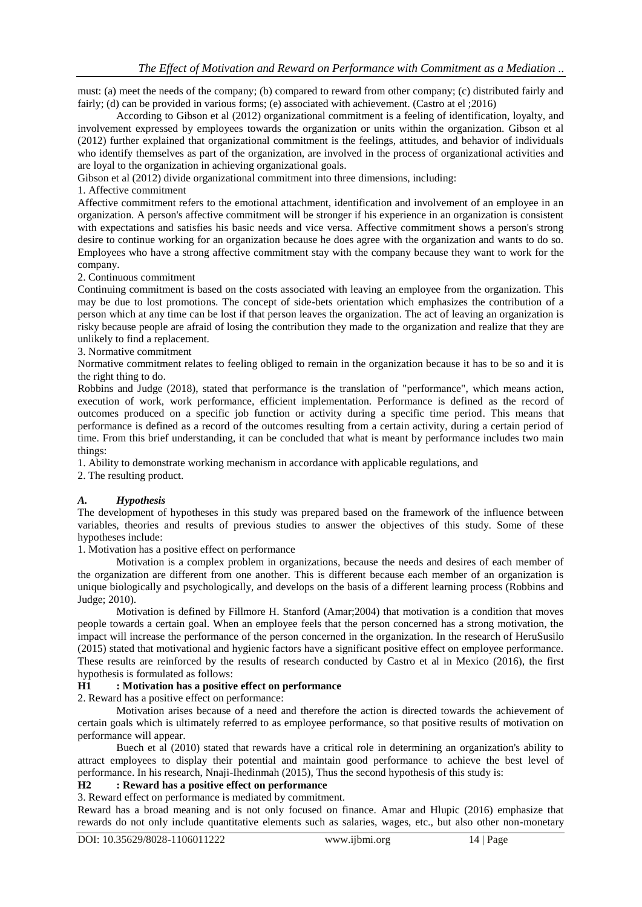must: (a) meet the needs of the company; (b) compared to reward from other company; (c) distributed fairly and fairly; (d) can be provided in various forms; (e) associated with achievement. (Castro at el ;2016)

According to Gibson et al (2012) organizational commitment is a feeling of identification, loyalty, and involvement expressed by employees towards the organization or units within the organization. Gibson et al (2012) further explained that organizational commitment is the feelings, attitudes, and behavior of individuals who identify themselves as part of the organization, are involved in the process of organizational activities and are loyal to the organization in achieving organizational goals.

Gibson et al (2012) divide organizational commitment into three dimensions, including:

1. Affective commitment

Affective commitment refers to the emotional attachment, identification and involvement of an employee in an organization. A person's affective commitment will be stronger if his experience in an organization is consistent with expectations and satisfies his basic needs and vice versa. Affective commitment shows a person's strong desire to continue working for an organization because he does agree with the organization and wants to do so. Employees who have a strong affective commitment stay with the company because they want to work for the company.

2. Continuous commitment

Continuing commitment is based on the costs associated with leaving an employee from the organization. This may be due to lost promotions. The concept of side-bets orientation which emphasizes the contribution of a person which at any time can be lost if that person leaves the organization. The act of leaving an organization is risky because people are afraid of losing the contribution they made to the organization and realize that they are unlikely to find a replacement.

3. Normative commitment

Normative commitment relates to feeling obliged to remain in the organization because it has to be so and it is the right thing to do.

Robbins and Judge (2018), stated that performance is the translation of "performance", which means action, execution of work, work performance, efficient implementation. Performance is defined as the record of outcomes produced on a specific job function or activity during a specific time period. This means that performance is defined as a record of the outcomes resulting from a certain activity, during a certain period of time. From this brief understanding, it can be concluded that what is meant by performance includes two main things:

1. Ability to demonstrate working mechanism in accordance with applicable regulations, and

2. The resulting product.

### *A. Hypothesis*

The development of hypotheses in this study was prepared based on the framework of the influence between variables, theories and results of previous studies to answer the objectives of this study. Some of these hypotheses include:

1. Motivation has a positive effect on performance

Motivation is a complex problem in organizations, because the needs and desires of each member of the organization are different from one another. This is different because each member of an organization is unique biologically and psychologically, and develops on the basis of a different learning process (Robbins and Judge; 2010).

Motivation is defined by Fillmore H. Stanford (Amar;2004) that motivation is a condition that moves people towards a certain goal. When an employee feels that the person concerned has a strong motivation, the impact will increase the performance of the person concerned in the organization. In the research of HeruSusilo (2015) stated that motivational and hygienic factors have a significant positive effect on employee performance. These results are reinforced by the results of research conducted by Castro et al in Mexico (2016), the first hypothesis is formulated as follows:

### **H1 : Motivation has a positive effect on performance**

2. Reward has a positive effect on performance:

Motivation arises because of a need and therefore the action is directed towards the achievement of certain goals which is ultimately referred to as employee performance, so that positive results of motivation on performance will appear.

Buech et al (2010) stated that rewards have a critical role in determining an organization's ability to attract employees to display their potential and maintain good performance to achieve the best level of performance. In his research, Nnaji-Ihedinmah (2015), Thus the second hypothesis of this study is:

# **H2 : Reward has a positive effect on performance**

3. Reward effect on performance is mediated by commitment.

Reward has a broad meaning and is not only focused on finance. Amar and Hlupic (2016) emphasize that rewards do not only include quantitative elements such as salaries, wages, etc., but also other non-monetary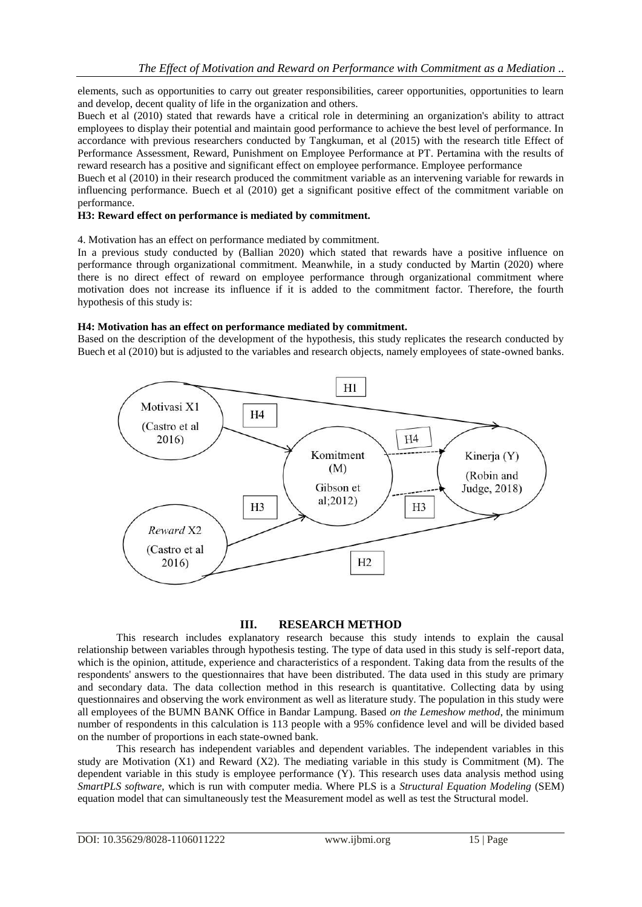elements, such as opportunities to carry out greater responsibilities, career opportunities, opportunities to learn and develop, decent quality of life in the organization and others.

Buech et al (2010) stated that rewards have a critical role in determining an organization's ability to attract employees to display their potential and maintain good performance to achieve the best level of performance. In accordance with previous researchers conducted by Tangkuman, et al (2015) with the research title Effect of Performance Assessment, Reward, Punishment on Employee Performance at PT. Pertamina with the results of reward research has a positive and significant effect on employee performance. Employee performance

Buech et al (2010) in their research produced the commitment variable as an intervening variable for rewards in influencing performance. Buech et al (2010) get a significant positive effect of the commitment variable on performance.

### **H3: Reward effect on performance is mediated by commitment.**

4. Motivation has an effect on performance mediated by commitment.

In a previous study conducted by (Ballian 2020) which stated that rewards have a positive influence on performance through organizational commitment. Meanwhile, in a study conducted by Martin (2020) where there is no direct effect of reward on employee performance through organizational commitment where motivation does not increase its influence if it is added to the commitment factor. Therefore, the fourth hypothesis of this study is:

### **H4: Motivation has an effect on performance mediated by commitment.**

Based on the description of the development of the hypothesis, this study replicates the research conducted by Buech et al (2010) but is adjusted to the variables and research objects, namely employees of state-owned banks.



### **III. RESEARCH METHOD**

This research includes explanatory research because this study intends to explain the causal relationship between variables through hypothesis testing. The type of data used in this study is self-report data, which is the opinion, attitude, experience and characteristics of a respondent. Taking data from the results of the respondents' answers to the questionnaires that have been distributed. The data used in this study are primary and secondary data. The data collection method in this research is quantitative. Collecting data by using questionnaires and observing the work environment as well as literature study. The population in this study were all employees of the BUMN BANK Office in Bandar Lampung. Based *on the Lemeshow method*, the minimum number of respondents in this calculation is 113 people with a 95% confidence level and will be divided based on the number of proportions in each state-owned bank.

This research has independent variables and dependent variables. The independent variables in this study are Motivation (X1) and Reward (X2). The mediating variable in this study is Commitment (M). The dependent variable in this study is employee performance  $(Y)$ . This research uses data analysis method using *SmartPLS software*, which is run with computer media. Where PLS is a *Structural Equation Modeling* (SEM) equation model that can simultaneously test the Measurement model as well as test the Structural model.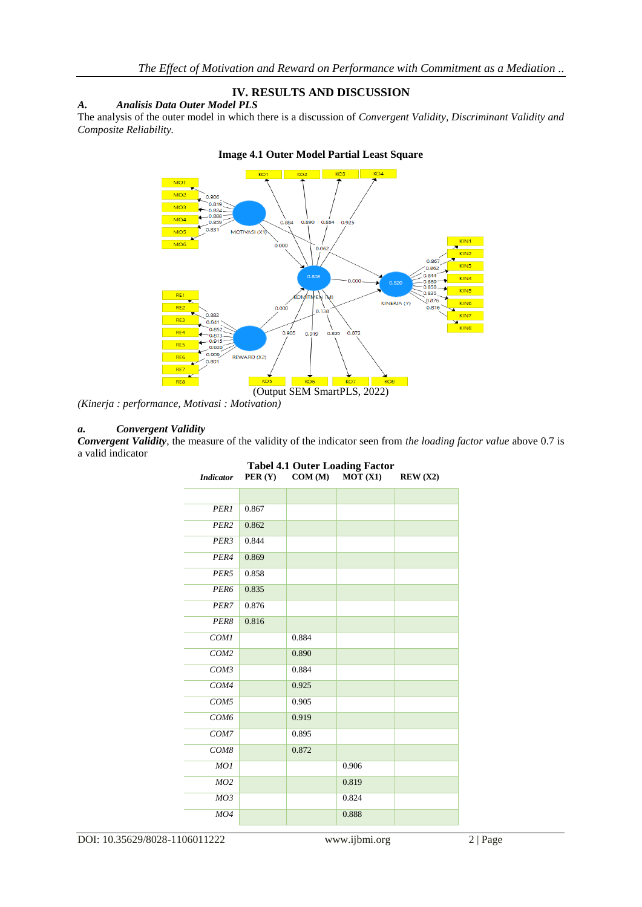# **IV. RESULTS AND DISCUSSION**

### *A. Analisis Data Outer Model PLS*

The analysis of the outer model in which there is a discussion of *Convergent Validity, Discriminant Validity and Composite Reliability.*



### **Image 4.1 Outer Model Partial Least Square**

*(Kinerja : performance, Motivasi : Motivation)*

### *a. Convergent Validity*

*Convergent Validity*, the measure of the validity of the indicator seen from *the loading factor value* above 0.7 is a valid indicator

| <b>Tabel 4.1 Outer Loading Factor</b> |        |        |         |         |
|---------------------------------------|--------|--------|---------|---------|
| <b>Indicator</b>                      | PER(Y) | COM(M) | MOT(X1) | REW(X2) |
|                                       |        |        |         |         |
|                                       |        |        |         |         |
| PER1                                  | 0.867  |        |         |         |
| PER <sub>2</sub>                      | 0.862  |        |         |         |
| PER3                                  | 0.844  |        |         |         |
| PER4                                  | 0.869  |        |         |         |
| PER5                                  | 0.858  |        |         |         |
| PER6                                  | 0.835  |        |         |         |
| PER7                                  | 0.876  |        |         |         |
| PER8                                  | 0.816  |        |         |         |
| COM1                                  |        | 0.884  |         |         |
| COM <sub>2</sub>                      |        | 0.890  |         |         |
| COM3                                  |        | 0.884  |         |         |
| COM4                                  |        | 0.925  |         |         |
| COM5                                  |        | 0.905  |         |         |
| COM <sub>6</sub>                      |        | 0.919  |         |         |
| COM7                                  |        | 0.895  |         |         |
| COM8                                  |        | 0.872  |         |         |
| MOI                                   |        |        | 0.906   |         |
| MO2                                   |        |        | 0.819   |         |
| MO3                                   |        |        | 0.824   |         |
| MO4                                   |        |        | 0.888   |         |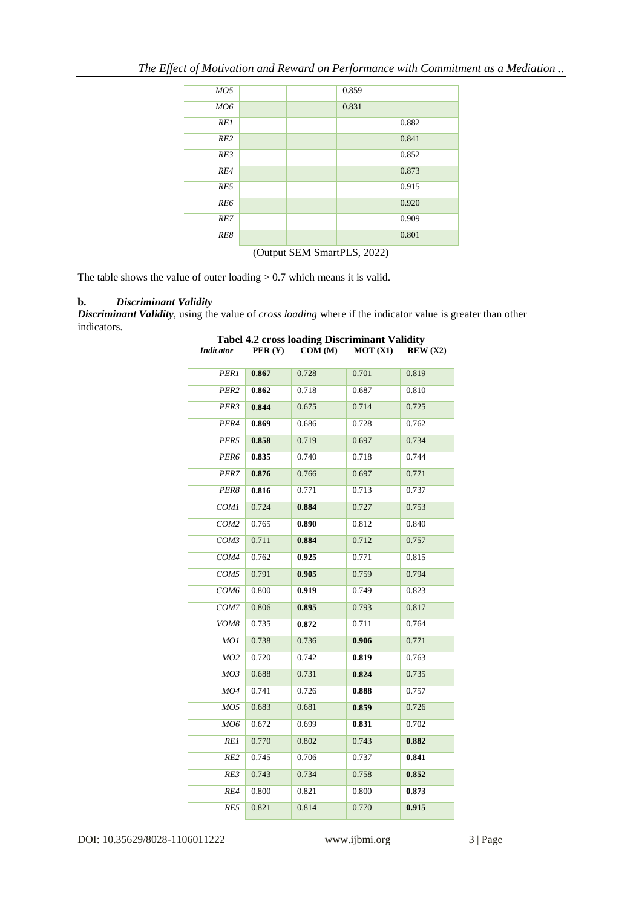| MO5                         |  |  | 0.859 |       |
|-----------------------------|--|--|-------|-------|
| <b>MO6</b>                  |  |  | 0.831 |       |
| RE1                         |  |  |       | 0.882 |
| RE2                         |  |  |       | 0.841 |
| RE3                         |  |  |       | 0.852 |
| RE4                         |  |  |       | 0.873 |
| RE5                         |  |  |       | 0.915 |
| RE6                         |  |  |       | 0.920 |
| RE7                         |  |  |       | 0.909 |
| RE8                         |  |  |       | 0.801 |
| (Output SEM SmartPLS, 2022) |  |  |       |       |

*The Effect of Motivation and Reward on Performance with Commitment as a Mediation ..*

The table shows the value of outer loading  $> 0.7$  which means it is valid.

### **b.** *Discriminant Validity*

*Discriminant Validity*, using the value of *cross loading* where if the indicator value is greater than other indicators.

| PER1             | 0.867 | 0.728 | 0.701 | 0.819 |
|------------------|-------|-------|-------|-------|
| PER2             | 0.862 | 0.718 | 0.687 | 0.810 |
| PER3             | 0.844 | 0.675 | 0.714 | 0.725 |
| PER4             | 0.869 | 0.686 | 0.728 | 0.762 |
| PER5             | 0.858 | 0.719 | 0.697 | 0.734 |
| PER6             | 0.835 | 0.740 | 0.718 | 0.744 |
| PER7             | 0.876 | 0.766 | 0.697 | 0.771 |
| PER8             | 0.816 | 0.771 | 0.713 | 0.737 |
| COM1             | 0.724 | 0.884 | 0.727 | 0.753 |
| COM <sub>2</sub> | 0.765 | 0.890 | 0.812 | 0.840 |
| COM3             | 0.711 | 0.884 | 0.712 | 0.757 |
| COM4             | 0.762 | 0.925 | 0.771 | 0.815 |
| COM5             | 0.791 | 0.905 | 0.759 | 0.794 |
| COM <sub>6</sub> | 0.800 | 0.919 | 0.749 | 0.823 |
| COM7             | 0.806 | 0.895 | 0.793 | 0.817 |
| VOM8             | 0.735 | 0.872 | 0.711 | 0.764 |
| MO1              | 0.738 | 0.736 | 0.906 | 0.771 |
| MO2              | 0.720 | 0.742 | 0.819 | 0.763 |
| MO3              | 0.688 | 0.731 | 0.824 | 0.735 |
| MO4              | 0.741 | 0.726 | 0.888 | 0.757 |
| MO5              | 0.683 | 0.681 | 0.859 | 0.726 |
| MO6              | 0.672 | 0.699 | 0.831 | 0.702 |
| RE1              | 0.770 | 0.802 | 0.743 | 0.882 |
| RE2              | 0.745 | 0.706 | 0.737 | 0.841 |
| RE3              | 0.743 | 0.734 | 0.758 | 0.852 |
| RE4              | 0.800 | 0.821 | 0.800 | 0.873 |
| RE5              | 0.821 | 0.814 | 0.770 | 0.915 |

### **Tabel 4.2 cross loading Discriminant Validity** *Indicator* **PER (Y) COM (M) MOT (X1) REW (X2)**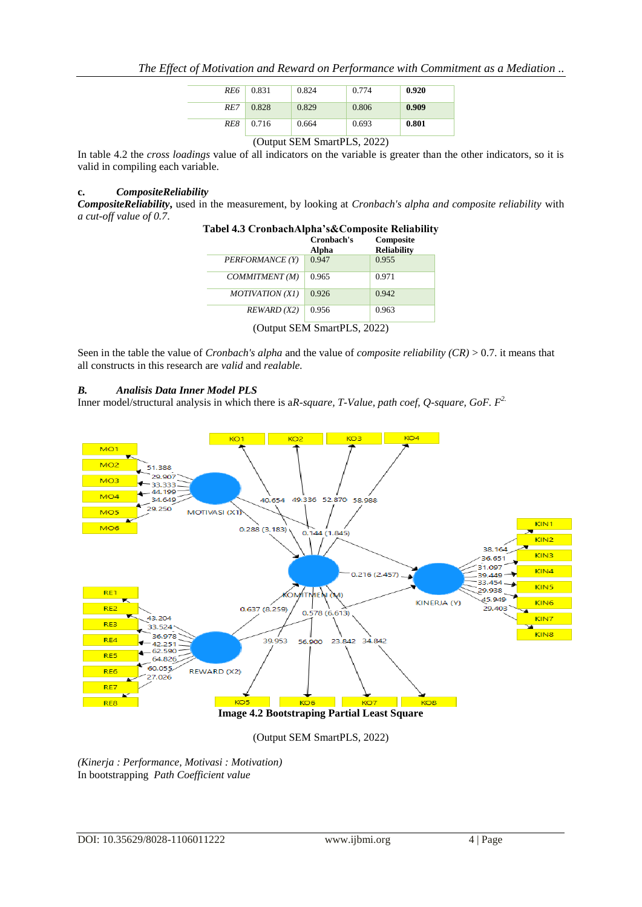| RE6 | 0.831 | 0.824 | 0.774 | 0.920 |
|-----|-------|-------|-------|-------|
| RE7 | 0.828 | 0.829 | 0.806 | 0.909 |
| RE8 | 0.716 | 0.664 | 0.693 | 0.801 |

### (Output SEM SmartPLS, 2022)

In table 4.2 the *cross loadings* value of all indicators on the variable is greater than the other indicators, so it is valid in compiling each variable.

### **c.** *CompositeReliability*

*CompositeReliability***,** used in the measurement, by looking at *Cronbach's alpha and composite reliability* with *a cut-off value of 0.7*.

| Tabel 4.5 CronbachAlpha secomposite Kenability | Cronbach's<br>Alpha | Composite<br><b>Reliability</b> |
|------------------------------------------------|---------------------|---------------------------------|
| PERFORMANCE (Y)                                | 0.947               | 0.955                           |
| COMMITMENT(M)                                  | 0.965               | 0.971                           |
| MOTIVATION (X1)                                | 0.926               | 0.942                           |
| REWARD (X2)                                    | 0.956               | 0.963                           |

# **Tabel 4.3 CronbachAlpha's&Composite Reliability**

(Output SEM SmartPLS, 2022)

Seen in the table the value of *Cronbach's alpha* and the value of *composite reliability (CR)* > 0.7. it means that all constructs in this research are *valid* and *realable.*

### *B. Analisis Data Inner Model PLS*

Inner model/structural analysis in which there is a*R-square, T-Value, path coef, Q-square, GoF. F2.*



(Output SEM SmartPLS, 2022)

*(Kinerja : Performance, Motivasi : Motivation)*  In bootstrapping *Path Coefficient value*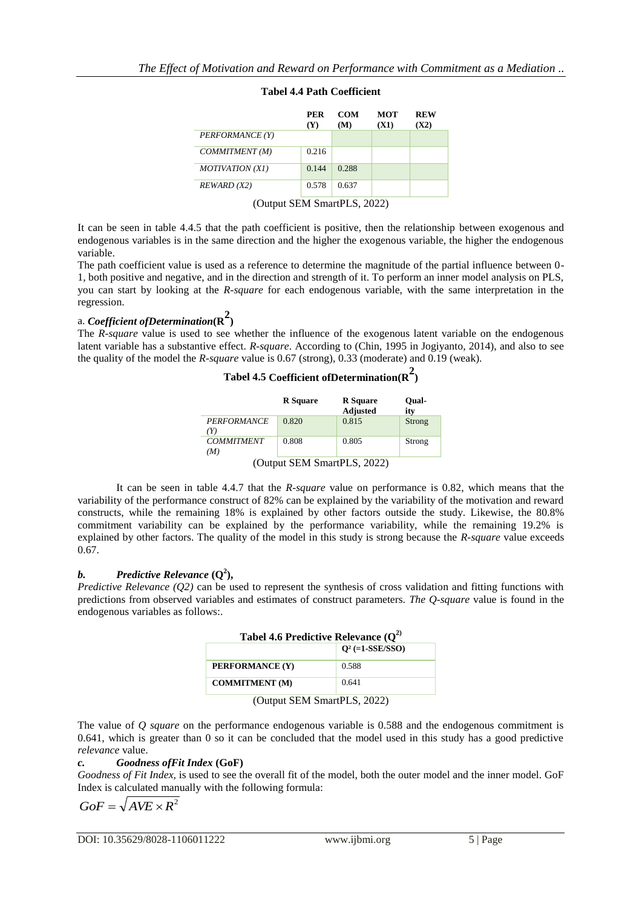|                 | <b>PER</b><br>(Y) | <b>COM</b><br>(M) | <b>MOT</b><br>(X1) | <b>REW</b><br>(X2) |
|-----------------|-------------------|-------------------|--------------------|--------------------|
| PERFORMANCE (Y) |                   |                   |                    |                    |
| COMMITMENT(M)   | 0.216             |                   |                    |                    |
| MOTIVATION (X1) | 0.144             | 0.288             |                    |                    |
| REWARD (X2)     | 0.578             | 0.637             |                    |                    |

# **Tabel 4.4 Path Coefficient**

It can be seen in table 4.4.5 that the path coefficient is positive, then the relationship between exogenous and endogenous variables is in the same direction and the higher the exogenous variable, the higher the endogenous variable.

The path coefficient value is used as a reference to determine the magnitude of the partial influence between 0- 1, both positive and negative, and in the direction and strength of it. To perform an inner model analysis on PLS, you can start by looking at the *R-square* for each endogenous variable, with the same interpretation in the regression.

# a. *Coefficient ofDetermination***(R 2 )**

The *R-square* value is used to see whether the influence of the exogenous latent variable on the endogenous latent variable has a substantive effect. *R-square*. According to (Chin, 1995 in Jogiyanto, 2014), and also to see the quality of the model the *R-square* value is 0.67 (strong), 0.33 (moderate) and 0.19 (weak).

**Tabel 4.5 Coefficient ofDetermination(R 2 )**

|                             | <b>R</b> Square | <b>R</b> Square<br><b>Adjusted</b> | Oual-<br>ity |  |
|-----------------------------|-----------------|------------------------------------|--------------|--|
| <b>PERFORMANCE</b>          | 0.820           | 0.815                              | Strong       |  |
| (Y)                         |                 |                                    |              |  |
| <b>COMMITMENT</b>           | 0.808           | 0.805                              | Strong       |  |
| (M)                         |                 |                                    |              |  |
| (Output SEM SmartPLS, 2022) |                 |                                    |              |  |

It can be seen in table 4.4.7 that the *R-square* value on performance is 0.82, which means that the variability of the performance construct of 82% can be explained by the variability of the motivation and reward constructs, while the remaining 18% is explained by other factors outside the study. Likewise, the 80.8% commitment variability can be explained by the performance variability, while the remaining 19.2% is explained by other factors. The quality of the model in this study is strong because the *R-square* value exceeds 0.67.

# *b.* **Predictive Relevance**  $(Q^2)$ **,**

*Predictive Relevance (O2)* can be used to represent the synthesis of cross validation and fitting functions with predictions from observed variables and estimates of construct parameters. *The Q-square* value is found in the endogenous variables as follows:.

| Tabel 4.6 Predictive Relevance $(Q^2)$ |       |  |  |  |
|----------------------------------------|-------|--|--|--|
| $Q^2$ (=1-SSE/SSO)                     |       |  |  |  |
| PERFORMANCE (Y)                        | 0.588 |  |  |  |
| <b>COMMITMENT</b> (M)                  | 0.641 |  |  |  |

(Output SEM SmartPLS, 2022)

The value of *Q square* on the performance endogenous variable is 0.588 and the endogenous commitment is 0.641, which is greater than 0 so it can be concluded that the model used in this study has a good predictive *relevance* value.

### *c. Goodness ofFit Index* **(GoF)**

*Goodness of Fit Index,* is used to see the overall fit of the model, both the outer model and the inner model. GoF Index is calculated manually with the following formula:

$$
GoF = \sqrt{AVE \times R^2}
$$

<sup>(</sup>Output SEM SmartPLS, 2022)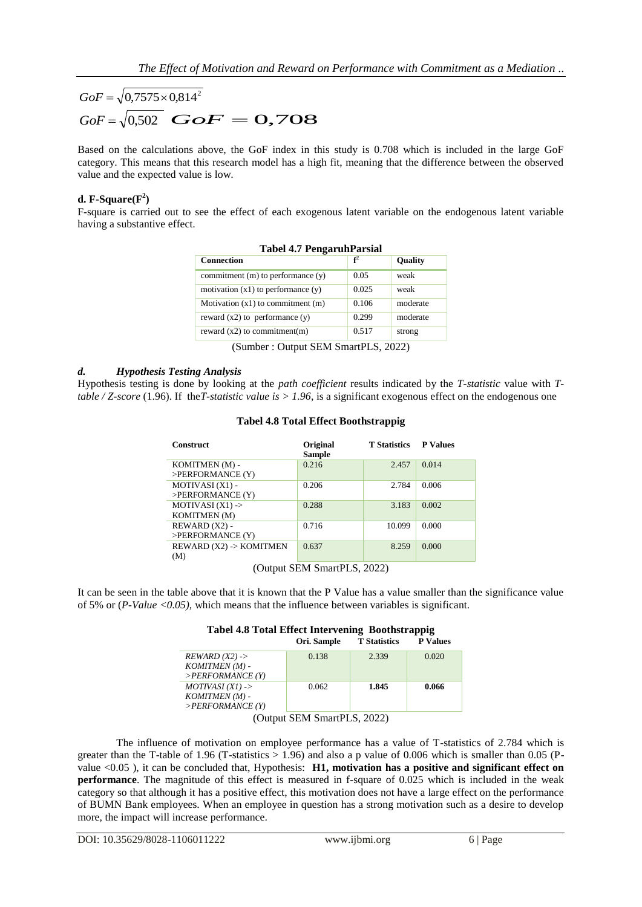# $GoF = \sqrt{0.7575 \times 0.814^2}$  $GoF = \sqrt{0,502}$  *GoF* = 0,708

Based on the calculations above, the GoF index in this study is 0.708 which is included in the large GoF category. This means that this research model has a high fit, meaning that the difference between the observed value and the expected value is low.

# **d. F-Square** $(F^2)$

F-square is carried out to see the effect of each exogenous latent variable on the endogenous latent variable having a substantive effect.

| <b>Tabel 4.7 PengaruhParsial</b>       |       |                |  |  |
|----------------------------------------|-------|----------------|--|--|
| <b>Connection</b>                      | $f^2$ | <b>Quality</b> |  |  |
| commitment $(m)$ to performance $(y)$  | 0.05  | weak           |  |  |
| motivation $(x1)$ to performance $(y)$ | 0.025 | weak           |  |  |
| Motivation $(x1)$ to commitment $(m)$  | 0.106 | moderate       |  |  |
| reward $(x2)$ to performance $(y)$     | 0.299 | moderate       |  |  |
| reward $(x2)$ to commitment $(m)$      | 0.517 | strong         |  |  |
| $\sim$ $\sim$ $\sim$ $\sim$            |       |                |  |  |

|  | <b>Tabel 4.7 Pengaruh Parsial</b> |
|--|-----------------------------------|
|  |                                   |

(Sumber : Output SEM SmartPLS, 2022)

### *d. Hypothesis Testing Analysis*

Hypothesis testing is done by looking at the *path coefficient* results indicated by the *T-statistic* value with *Ttable / Z-score* (1.96). If the*T-statistic value is > 1.96*, is a significant exogenous effect on the endogenous one

| <b>Construct</b>        | Original<br><b>Sample</b> | <b>T</b> Statistics | <b>P</b> Values |
|-------------------------|---------------------------|---------------------|-----------------|
| KOMITMEN (M) -          | 0.216                     | 2.457               | 0.014           |
| $>$ PERFORMANCE $(Y)$   |                           |                     |                 |
| MOTIVASI (X1) -         | 0.206                     | 2.784               | 0.006           |
| $>$ PERFORMANCE $(Y)$   |                           |                     |                 |
| MOTIVASI $(X1)$ ->      | 0.288                     | 3.183               | 0.002           |
| <b>KOMITMEN</b> (M)     |                           |                     |                 |
| REWARD (X2) -           | 0.716                     | 10.099              | 0.000           |
| >PERFORMANCE (Y)        |                           |                     |                 |
| REWARD (X2) -> KOMITMEN | 0.637                     | 8.259               | 0.000           |
| (M)                     |                           |                     |                 |

### **Tabel 4.8 Total Effect Boothstrappig**

(Output SEM SmartPLS, 2022)

It can be seen in the table above that it is known that the P Value has a value smaller than the significance value of 5% or (*P-Value <0.05),* which means that the influence between variables is significant.

| Tabel 4.8 Total Effect Intervening Boothstrappig |             |                     |                 |
|--------------------------------------------------|-------------|---------------------|-----------------|
|                                                  | Ori. Sample | <b>T</b> Statistics | <b>P</b> Values |

| $REWARD(X2)$ ->                                                                | 0.138 | 2.339 | 0.020 |
|--------------------------------------------------------------------------------|-------|-------|-------|
| KOMITMEN (M) -                                                                 |       |       |       |
| $>$ PERFORMANCE (Y)                                                            |       |       |       |
| $MOTIVASI(XI)$ ->                                                              | 0.062 | 1.845 | 0.066 |
| KOMITMEN (M) -                                                                 |       |       |       |
| $>$ PERFORMANCE (Y)                                                            |       |       |       |
| $(0,1)$ CEM $\mathbb{C}_{\mathbf{C}}$ C <sub>mort</sub> DI $\mathbb{C}$ (2002) |       |       |       |

(Output SEM SmartPLS, 2022)

The influence of motivation on employee performance has a value of T-statistics of 2.784 which is greater than the T-table of 1.96 (T-statistics  $> 1.96$ ) and also a p value of 0.006 which is smaller than 0.05 (Pvalue <0.05 ), it can be concluded that, Hypothesis: **H1, motivation has a positive and significant effect on performance**. The magnitude of this effect is measured in f-square of 0.025 which is included in the weak category so that although it has a positive effect, this motivation does not have a large effect on the performance of BUMN Bank employees. When an employee in question has a strong motivation such as a desire to develop more, the impact will increase performance.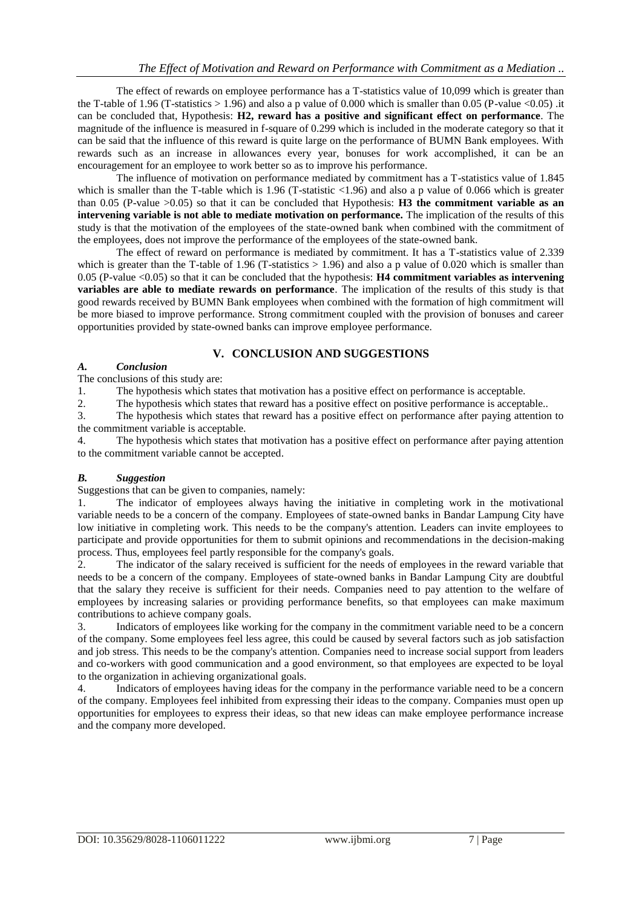The effect of rewards on employee performance has a T-statistics value of 10,099 which is greater than the T-table of 1.96 (T-statistics  $> 1.96$ ) and also a p value of 0.000 which is smaller than 0.05 (P-value <0.05) .it can be concluded that, Hypothesis: **H2, reward has a positive and significant effect on performance**. The magnitude of the influence is measured in f-square of 0.299 which is included in the moderate category so that it can be said that the influence of this reward is quite large on the performance of BUMN Bank employees. With rewards such as an increase in allowances every year, bonuses for work accomplished, it can be an encouragement for an employee to work better so as to improve his performance.

The influence of motivation on performance mediated by commitment has a T-statistics value of 1.845 which is smaller than the T-table which is 1.96 (T-statistic  $\langle 1.96 \rangle$ ) and also a p value of 0.066 which is greater than 0.05 (P-value >0.05) so that it can be concluded that Hypothesis: **H3 the commitment variable as an intervening variable is not able to mediate motivation on performance.** The implication of the results of this study is that the motivation of the employees of the state-owned bank when combined with the commitment of the employees, does not improve the performance of the employees of the state-owned bank.

The effect of reward on performance is mediated by commitment. It has a T-statistics value of 2.339 which is greater than the T-table of 1.96 (T-statistics  $> 1.96$ ) and also a p value of 0.020 which is smaller than 0.05 (P-value <0.05) so that it can be concluded that the hypothesis: **H4 commitment variables as intervening variables are able to mediate rewards on performance**. The implication of the results of this study is that good rewards received by BUMN Bank employees when combined with the formation of high commitment will be more biased to improve performance. Strong commitment coupled with the provision of bonuses and career opportunities provided by state-owned banks can improve employee performance.

# **V. CONCLUSION AND SUGGESTIONS**

### *A. Conclusion*

The conclusions of this study are:

1. The hypothesis which states that motivation has a positive effect on performance is acceptable.

2. The hypothesis which states that reward has a positive effect on positive performance is acceptable..

3. The hypothesis which states that reward has a positive effect on performance after paying attention to the commitment variable is acceptable.

4. The hypothesis which states that motivation has a positive effect on performance after paying attention to the commitment variable cannot be accepted.

### *B. Suggestion*

Suggestions that can be given to companies, namely:

1. The indicator of employees always having the initiative in completing work in the motivational variable needs to be a concern of the company. Employees of state-owned banks in Bandar Lampung City have low initiative in completing work. This needs to be the company's attention. Leaders can invite employees to participate and provide opportunities for them to submit opinions and recommendations in the decision-making process. Thus, employees feel partly responsible for the company's goals.

2. The indicator of the salary received is sufficient for the needs of employees in the reward variable that needs to be a concern of the company. Employees of state-owned banks in Bandar Lampung City are doubtful that the salary they receive is sufficient for their needs. Companies need to pay attention to the welfare of employees by increasing salaries or providing performance benefits, so that employees can make maximum contributions to achieve company goals.

3. Indicators of employees like working for the company in the commitment variable need to be a concern of the company. Some employees feel less agree, this could be caused by several factors such as job satisfaction and job stress. This needs to be the company's attention. Companies need to increase social support from leaders and co-workers with good communication and a good environment, so that employees are expected to be loyal to the organization in achieving organizational goals.

4. Indicators of employees having ideas for the company in the performance variable need to be a concern of the company. Employees feel inhibited from expressing their ideas to the company. Companies must open up opportunities for employees to express their ideas, so that new ideas can make employee performance increase and the company more developed.